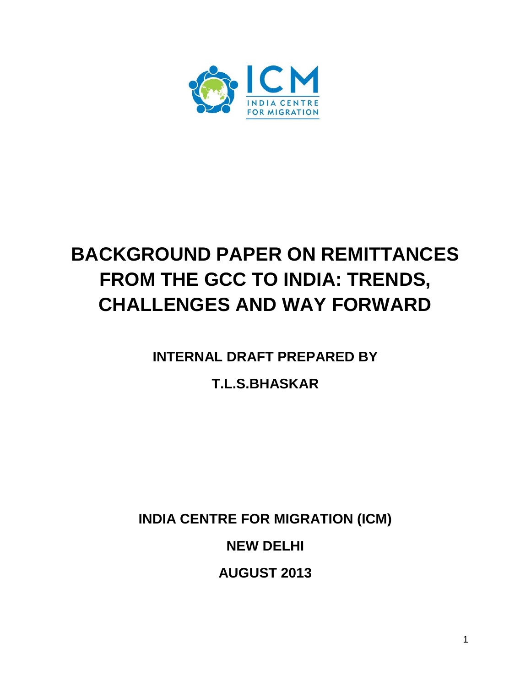

# **BACKGROUND PAPER ON REMITTANCES FROM THE GCC TO INDIA: TRENDS, CHALLENGES AND WAY FORWARD**

**INTERNAL DRAFT PREPARED BY**

# **T.L.S.BHASKAR**

**INDIA CENTRE FOR MIGRATION (ICM)**

**NEW DELHI**

**AUGUST 2013**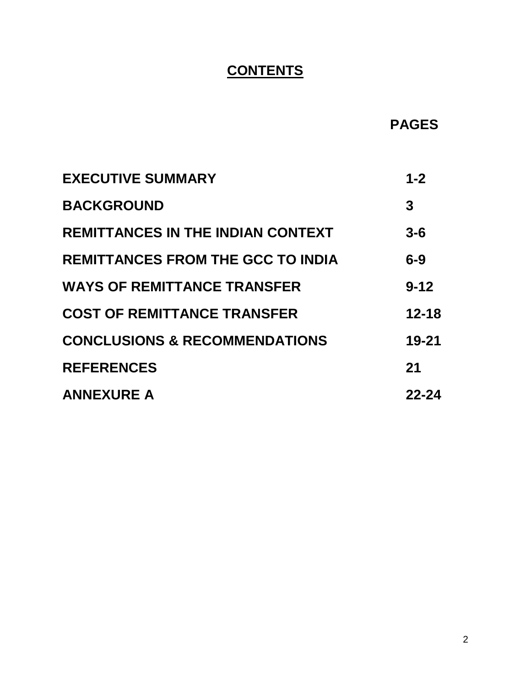# **CONTENTS**

 **PAGES**

| <b>EXECUTIVE SUMMARY</b>                 | $1 - 2$   |
|------------------------------------------|-----------|
| <b>BACKGROUND</b>                        | 3         |
| <b>REMITTANCES IN THE INDIAN CONTEXT</b> | $3 - 6$   |
| <b>REMITTANCES FROM THE GCC TO INDIA</b> | $6-9$     |
| <b>WAYS OF REMITTANCE TRANSFER</b>       | $9 - 12$  |
| <b>COST OF REMITTANCE TRANSFER</b>       | $12 - 18$ |
| <b>CONCLUSIONS &amp; RECOMMENDATIONS</b> | $19 - 21$ |
| <b>REFERENCES</b>                        | 21        |
| <b>ANNEXURE A</b>                        | 22-24     |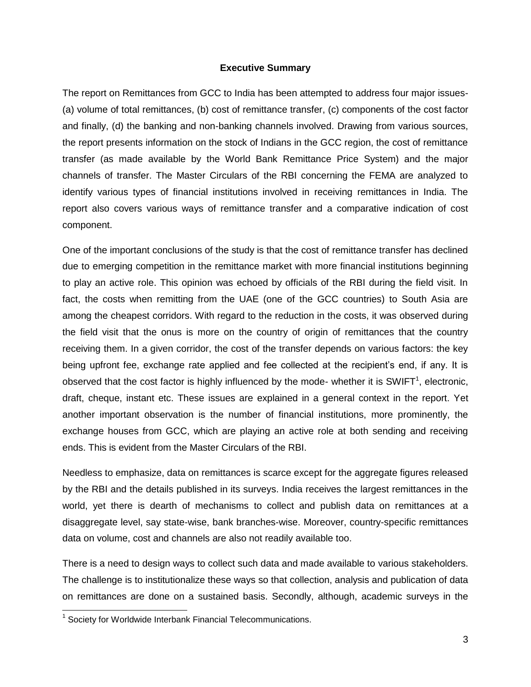#### **Executive Summary**

The report on Remittances from GCC to India has been attempted to address four major issues- (a) volume of total remittances, (b) cost of remittance transfer, (c) components of the cost factor and finally, (d) the banking and non-banking channels involved. Drawing from various sources, the report presents information on the stock of Indians in the GCC region, the cost of remittance transfer (as made available by the World Bank Remittance Price System) and the major channels of transfer. The Master Circulars of the RBI concerning the FEMA are analyzed to identify various types of financial institutions involved in receiving remittances in India. The report also covers various ways of remittance transfer and a comparative indication of cost component.

One of the important conclusions of the study is that the cost of remittance transfer has declined due to emerging competition in the remittance market with more financial institutions beginning to play an active role. This opinion was echoed by officials of the RBI during the field visit. In fact, the costs when remitting from the UAE (one of the GCC countries) to South Asia are among the cheapest corridors. With regard to the reduction in the costs, it was observed during the field visit that the onus is more on the country of origin of remittances that the country receiving them. In a given corridor, the cost of the transfer depends on various factors: the key being upfront fee, exchange rate applied and fee collected at the recipient's end, if any. It is observed that the cost factor is highly influenced by the mode- whether it is SWIFT<sup>1</sup>, electronic, draft, cheque, instant etc. These issues are explained in a general context in the report. Yet another important observation is the number of financial institutions, more prominently, the exchange houses from GCC, which are playing an active role at both sending and receiving ends. This is evident from the Master Circulars of the RBI.

Needless to emphasize, data on remittances is scarce except for the aggregate figures released by the RBI and the details published in its surveys. India receives the largest remittances in the world, yet there is dearth of mechanisms to collect and publish data on remittances at a disaggregate level, say state-wise, bank branches-wise. Moreover, country-specific remittances data on volume, cost and channels are also not readily available too.

There is a need to design ways to collect such data and made available to various stakeholders. The challenge is to institutionalize these ways so that collection, analysis and publication of data on remittances are done on a sustained basis. Secondly, although, academic surveys in the

<sup>&</sup>lt;sup>1</sup> Society for Worldwide Interbank Financial Telecommunications.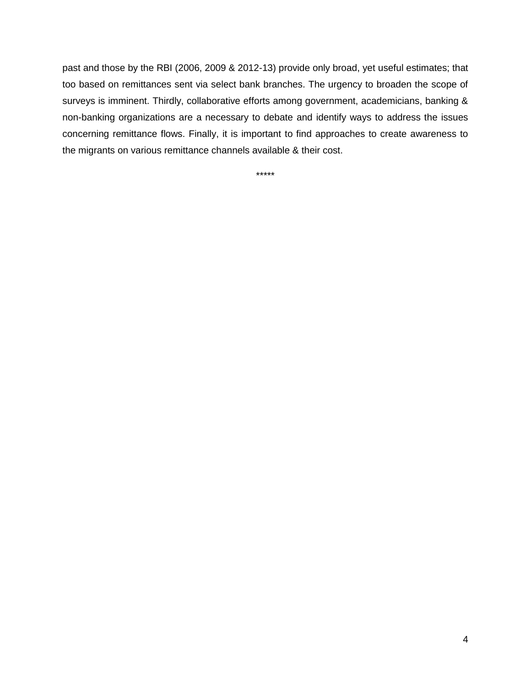past and those by the RBI (2006, 2009 & 2012-13) provide only broad, yet useful estimates; that too based on remittances sent via select bank branches. The urgency to broaden the scope of surveys is imminent. Thirdly, collaborative efforts among government, academicians, banking & non-banking organizations are a necessary to debate and identify ways to address the issues concerning remittance flows. Finally, it is important to find approaches to create awareness to the migrants on various remittance channels available & their cost.

\*\*\*\*\*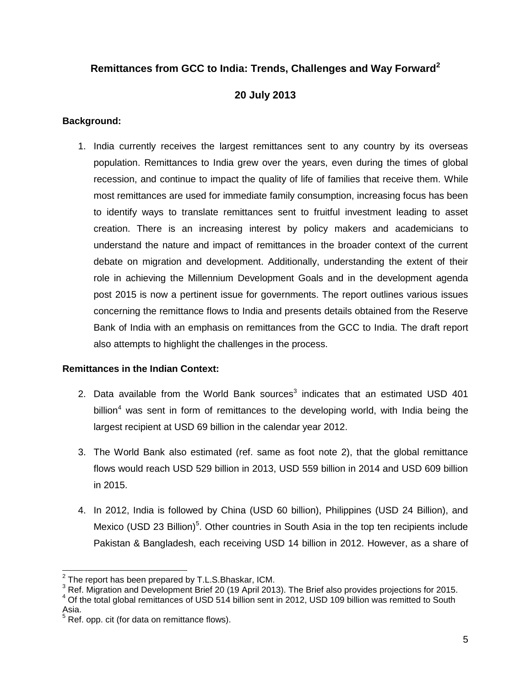## **Remittances from GCC to India: Trends, Challenges and Way Forward<sup>2</sup>**

### **20 July 2013**

#### **Background:**

1. India currently receives the largest remittances sent to any country by its overseas population. Remittances to India grew over the years, even during the times of global recession, and continue to impact the quality of life of families that receive them. While most remittances are used for immediate family consumption, increasing focus has been to identify ways to translate remittances sent to fruitful investment leading to asset creation. There is an increasing interest by policy makers and academicians to understand the nature and impact of remittances in the broader context of the current debate on migration and development. Additionally, understanding the extent of their role in achieving the Millennium Development Goals and in the development agenda post 2015 is now a pertinent issue for governments. The report outlines various issues concerning the remittance flows to India and presents details obtained from the Reserve Bank of India with an emphasis on remittances from the GCC to India. The draft report also attempts to highlight the challenges in the process.

### **Remittances in the Indian Context:**

- 2. Data available from the World Bank sources<sup>3</sup> indicates that an estimated USD 401 billion<sup>4</sup> was sent in form of remittances to the developing world, with India being the largest recipient at USD 69 billion in the calendar year 2012.
- 3. The World Bank also estimated (ref. same as foot note 2), that the global remittance flows would reach USD 529 billion in 2013, USD 559 billion in 2014 and USD 609 billion in 2015.
- 4. In 2012, India is followed by China (USD 60 billion), Philippines (USD 24 Billion), and Mexico (USD 23 Billion)<sup>5</sup>. Other countries in South Asia in the top ten recipients include Pakistan & Bangladesh, each receiving USD 14 billion in 2012. However, as a share of

 2 The report has been prepared by T.L.S.Bhaskar, ICM.

 $3$  Ref. Migration and Development Brief 20 (19 April 2013). The Brief also provides projections for 2015.

 $4$  Of the total global remittances of USD 514 billion sent in 2012, USD 109 billion was remitted to South Asia.

 $5$  Ref. opp. cit (for data on remittance flows).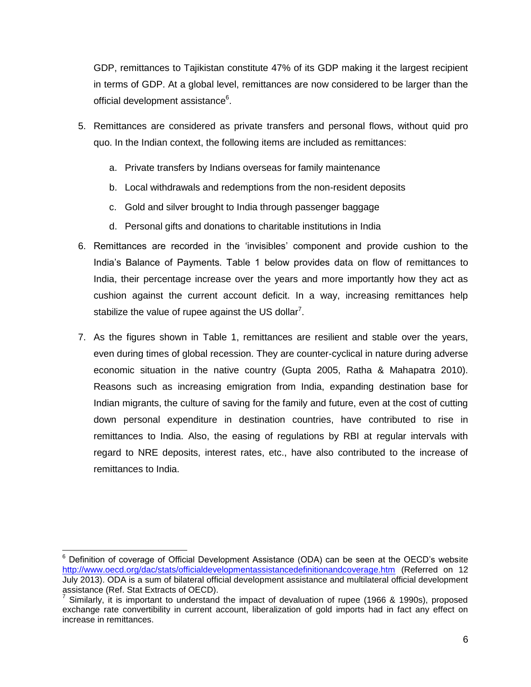GDP, remittances to Tajikistan constitute 47% of its GDP making it the largest recipient in terms of GDP. At a global level, remittances are now considered to be larger than the official development assistance<sup>6</sup>.

- 5. Remittances are considered as private transfers and personal flows, without quid pro quo. In the Indian context, the following items are included as remittances:
	- a. Private transfers by Indians overseas for family maintenance
	- b. Local withdrawals and redemptions from the non-resident deposits
	- c. Gold and silver brought to India through passenger baggage
	- d. Personal gifts and donations to charitable institutions in India
- 6. Remittances are recorded in the "invisibles" component and provide cushion to the India"s Balance of Payments. Table 1 below provides data on flow of remittances to India, their percentage increase over the years and more importantly how they act as cushion against the current account deficit. In a way, increasing remittances help stabilize the value of rupee against the US dollar<sup>7</sup>.
- 7. As the figures shown in Table 1, remittances are resilient and stable over the years, even during times of global recession. They are counter-cyclical in nature during adverse economic situation in the native country (Gupta 2005, Ratha & Mahapatra 2010). Reasons such as increasing emigration from India, expanding destination base for Indian migrants, the culture of saving for the family and future, even at the cost of cutting down personal expenditure in destination countries, have contributed to rise in remittances to India. Also, the easing of regulations by RBI at regular intervals with regard to NRE deposits, interest rates, etc., have also contributed to the increase of remittances to India.

 $6$  Definition of coverage of Official Development Assistance (ODA) can be seen at the OECD's website <http://www.oecd.org/dac/stats/officialdevelopmentassistancedefinitionandcoverage.htm> (Referred on 12 July 2013). ODA is a sum of bilateral official development assistance and multilateral official development assistance (Ref. Stat Extracts of OECD).

 $^7$  Similarly, it is important to understand the impact of devaluation of rupee (1966 & 1990s), proposed exchange rate convertibility in current account, liberalization of gold imports had in fact any effect on increase in remittances.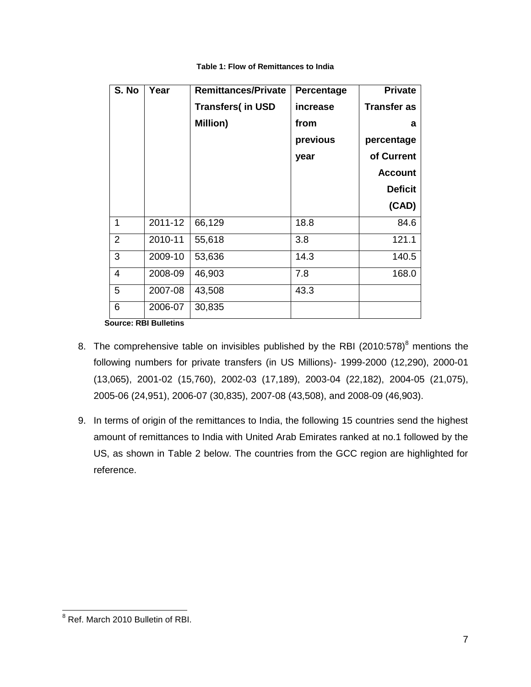| S. No          | Year                             | <b>Remittances/Private</b> | Percentage | <b>Private</b>     |
|----------------|----------------------------------|----------------------------|------------|--------------------|
|                |                                  | <b>Transfers(in USD</b>    | increase   | <b>Transfer as</b> |
|                |                                  | <b>Million)</b>            | from       | a                  |
|                |                                  |                            | previous   | percentage         |
|                |                                  |                            | year       | of Current         |
|                |                                  |                            |            | <b>Account</b>     |
|                |                                  |                            |            | <b>Deficit</b>     |
|                |                                  |                            |            | (CAD)              |
| 1              | 2011-12                          | 66,129                     | 18.8       | 84.6               |
| 2              | 2010-11                          | 55,618                     | 3.8        | 121.1              |
| 3              | 2009-10                          | 53,636                     | 14.3       | 140.5              |
| $\overline{4}$ | 2008-09                          | 46,903                     | 7.8        | 168.0              |
| 5              | 2007-08                          | 43,508                     | 43.3       |                    |
| 6              | 2006-07<br>Sauroo: DDI Dullating | 30,835                     |            |                    |

#### **Table 1: Flow of Remittances to India**

 **Source: RBI Bulletins**

- 8. The comprehensive table on invisibles published by the RBI (2010:578) $^8$  mentions the following numbers for private transfers (in US Millions)- 1999-2000 (12,290), 2000-01 (13,065), 2001-02 (15,760), 2002-03 (17,189), 2003-04 (22,182), 2004-05 (21,075), 2005-06 (24,951), 2006-07 (30,835), 2007-08 (43,508), and 2008-09 (46,903).
- 9. In terms of origin of the remittances to India, the following 15 countries send the highest amount of remittances to India with United Arab Emirates ranked at no.1 followed by the US, as shown in Table 2 below. The countries from the GCC region are highlighted for reference.

 <sup>8</sup> Ref. March 2010 Bulletin of RBI.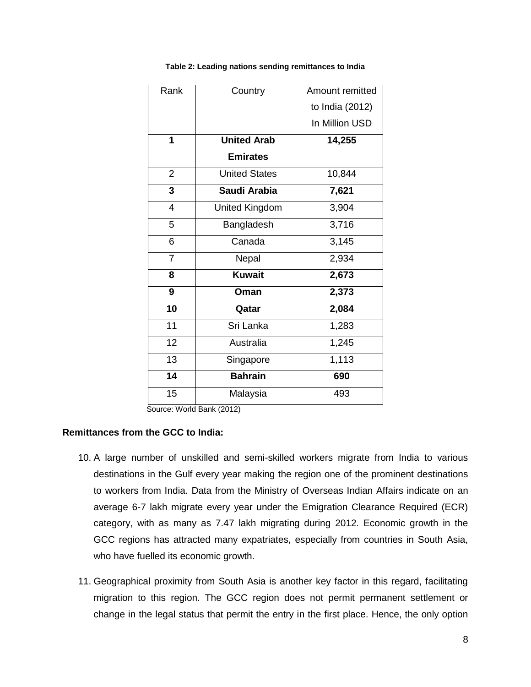| Rank            | Country               | Amount remitted |
|-----------------|-----------------------|-----------------|
|                 |                       | to India (2012) |
|                 |                       | In Million USD  |
| 1               | <b>United Arab</b>    | 14,255          |
|                 | <b>Emirates</b>       |                 |
| $\overline{2}$  | <b>United States</b>  | 10,844          |
| 3               | Saudi Arabia          | 7,621           |
| $\overline{4}$  | <b>United Kingdom</b> | 3,904           |
| 5               | Bangladesh            | 3,716           |
| 6               | Canada                | 3,145           |
| $\overline{7}$  | Nepal                 | 2,934           |
| 8               | <b>Kuwait</b>         | 2,673           |
| 9               | Oman                  | 2,373           |
| $\overline{10}$ | Qatar                 | 2,084           |
| $\overline{11}$ | Sri Lanka             | 1,283           |
| 12              | Australia             | 1,245           |
| 13              | Singapore             | 1,113           |
| $\overline{14}$ | <b>Bahrain</b>        | 690             |
| $\overline{15}$ | Malaysia              | 493             |

**Table 2: Leading nations sending remittances to India**

#### **Remittances from the GCC to India:**

- 10. A large number of unskilled and semi-skilled workers migrate from India to various destinations in the Gulf every year making the region one of the prominent destinations to workers from India. Data from the Ministry of Overseas Indian Affairs indicate on an average 6-7 lakh migrate every year under the Emigration Clearance Required (ECR) category, with as many as 7.47 lakh migrating during 2012. Economic growth in the GCC regions has attracted many expatriates, especially from countries in South Asia, who have fuelled its economic growth.
- 11. Geographical proximity from South Asia is another key factor in this regard, facilitating migration to this region. The GCC region does not permit permanent settlement or change in the legal status that permit the entry in the first place. Hence, the only option

Source: World Bank (2012)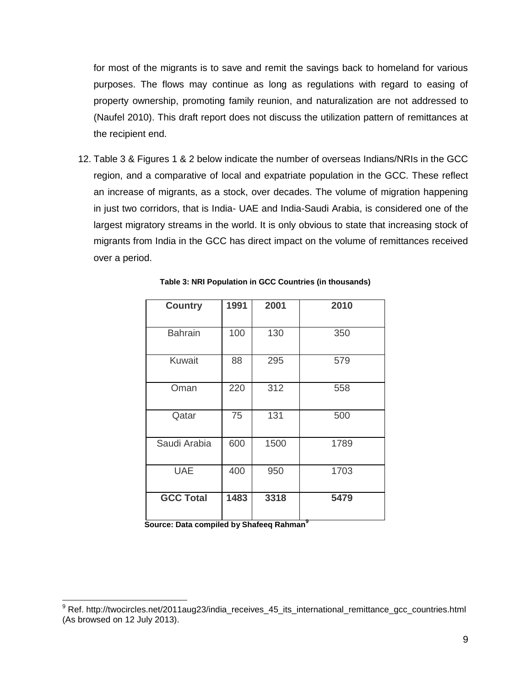for most of the migrants is to save and remit the savings back to homeland for various purposes. The flows may continue as long as regulations with regard to easing of property ownership, promoting family reunion, and naturalization are not addressed to (Naufel 2010). This draft report does not discuss the utilization pattern of remittances at the recipient end.

12. Table 3 & Figures 1 & 2 below indicate the number of overseas Indians/NRIs in the GCC region, and a comparative of local and expatriate population in the GCC. These reflect an increase of migrants, as a stock, over decades. The volume of migration happening in just two corridors, that is India- UAE and India-Saudi Arabia, is considered one of the largest migratory streams in the world. It is only obvious to state that increasing stock of migrants from India in the GCC has direct impact on the volume of remittances received over a period.

| <b>Country</b>   | 1991 | 2001 | 2010 |
|------------------|------|------|------|
| <b>Bahrain</b>   | 100  | 130  | 350  |
| Kuwait           | 88   | 295  | 579  |
| Oman             | 220  | 312  | 558  |
| Qatar            | 75   | 131  | 500  |
| Saudi Arabia     | 600  | 1500 | 1789 |
| <b>UAE</b>       | 400  | 950  | 1703 |
| <b>GCC Total</b> | 1483 | 3318 | 5479 |

**Table 3: NRI Population in GCC Countries (in thousands)**

 **Source: Data compiled by Shafeeq Rahman<sup>9</sup>**

<sup>&</sup>lt;sup>9</sup> Ref. http://twocircles.net/2011aug23/india\_receives\_45\_its\_international\_remittance\_gcc\_countries.html (As browsed on 12 July 2013).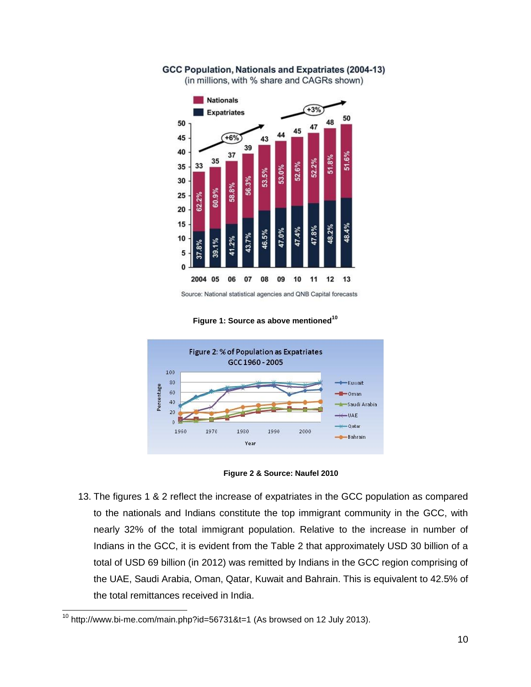

GCC Population, Nationals and Expatriates (2004-13) (in millions, with % share and CAGRs shown)

Source: National statistical agencies and QNB Capital forecasts



**Figure 1: Source as above mentioned<sup>10</sup>**

**Figure 2 & Source: Naufel 2010**

13. The figures 1 & 2 reflect the increase of expatriates in the GCC population as compared to the nationals and Indians constitute the top immigrant community in the GCC, with nearly 32% of the total immigrant population. Relative to the increase in number of Indians in the GCC, it is evident from the Table 2 that approximately USD 30 billion of a total of USD 69 billion (in 2012) was remitted by Indians in the GCC region comprising of the UAE, Saudi Arabia, Oman, Qatar, Kuwait and Bahrain. This is equivalent to 42.5% of the total remittances received in India.

<sup>&</sup>lt;sup>10</sup> http://www.bi-me.com/main.php?id=56731&t=1 (As browsed on 12 July 2013).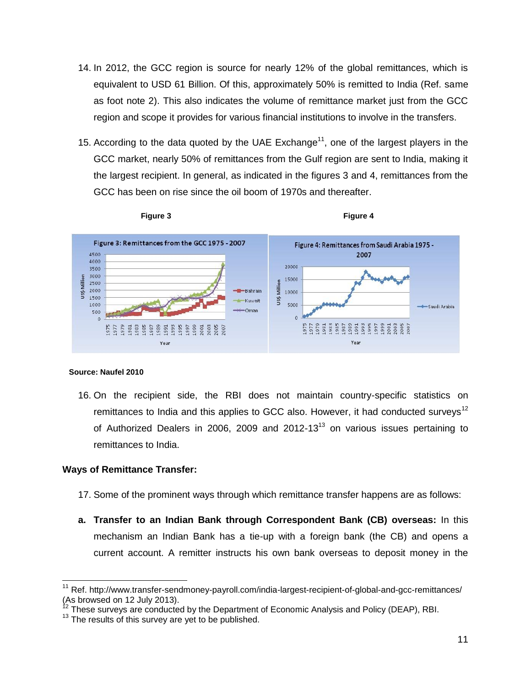- 14. In 2012, the GCC region is source for nearly 12% of the global remittances, which is equivalent to USD 61 Billion. Of this, approximately 50% is remitted to India (Ref. same as foot note 2). This also indicates the volume of remittance market just from the GCC region and scope it provides for various financial institutions to involve in the transfers.
- 15. According to the data quoted by the UAE Exchange<sup>11</sup>, one of the largest players in the GCC market, nearly 50% of remittances from the Gulf region are sent to India, making it the largest recipient. In general, as indicated in the figures 3 and 4, remittances from the GCC has been on rise since the oil boom of 1970s and thereafter.



#### **Source: Naufel 2010**

16. On the recipient side, the RBI does not maintain country-specific statistics on remittances to India and this applies to GCC also. However, it had conducted surveys<sup>12</sup> of Authorized Dealers in 2006, 2009 and 2012-13 $<sup>13</sup>$  on various issues pertaining to</sup> remittances to India.

#### **Ways of Remittance Transfer:**

- 17. Some of the prominent ways through which remittance transfer happens are as follows:
- **a. Transfer to an Indian Bank through Correspondent Bank (CB) overseas:** In this mechanism an Indian Bank has a tie-up with a foreign bank (the CB) and opens a current account. A remitter instructs his own bank overseas to deposit money in the

<sup>&</sup>lt;sup>11</sup> Ref. http://www.transfer-sendmoney-payroll.com/india-largest-recipient-of-global-and-gcc-remittances/ (As browsed on 12 July 2013).

These surveys are conducted by the Department of Economic Analysis and Policy (DEAP), RBI.

<sup>&</sup>lt;sup>13</sup> The results of this survey are yet to be published.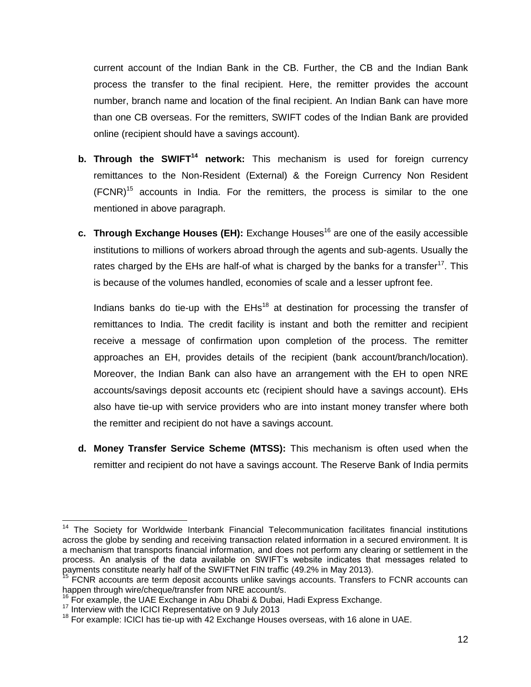current account of the Indian Bank in the CB. Further, the CB and the Indian Bank process the transfer to the final recipient. Here, the remitter provides the account number, branch name and location of the final recipient. An Indian Bank can have more than one CB overseas. For the remitters, SWIFT codes of the Indian Bank are provided online (recipient should have a savings account).

- **b. Through the SWIFT<sup>14</sup> network:** This mechanism is used for foreign currency remittances to the Non-Resident (External) & the Foreign Currency Non Resident  $(FCNR)^{15}$  accounts in India. For the remitters, the process is similar to the one mentioned in above paragraph.
- **c. Through Exchange Houses (EH):** Exchange Houses<sup>16</sup> are one of the easily accessible institutions to millions of workers abroad through the agents and sub-agents. Usually the rates charged by the EHs are half-of what is charged by the banks for a transfer<sup>17</sup>. This is because of the volumes handled, economies of scale and a lesser upfront fee.

Indians banks do tie-up with the  $E$ Hs<sup>18</sup> at destination for processing the transfer of remittances to India. The credit facility is instant and both the remitter and recipient receive a message of confirmation upon completion of the process. The remitter approaches an EH, provides details of the recipient (bank account/branch/location). Moreover, the Indian Bank can also have an arrangement with the EH to open NRE accounts/savings deposit accounts etc (recipient should have a savings account). EHs also have tie-up with service providers who are into instant money transfer where both the remitter and recipient do not have a savings account.

**d. Money Transfer Service Scheme (MTSS):** This mechanism is often used when the remitter and recipient do not have a savings account. The Reserve Bank of India permits

 <sup>14</sup> The Society for Worldwide Interbank Financial Telecommunication facilitates financial institutions across the globe by sending and receiving transaction related information in a secured environment. It is a mechanism that transports financial information, and does not perform any clearing or settlement in the process. An analysis of the data available on SWIFT"s website indicates that messages related to payments constitute nearly half of the SWIFTNet FIN traffic (49.2% in May 2013).

 $15$  FCNR accounts are term deposit accounts unlike savings accounts. Transfers to FCNR accounts can happen through wire/cheque/transfer from NRE account/s.

 $16$  For example, the UAE Exchange in Abu Dhabi & Dubai, Hadi Express Exchange.

<sup>&</sup>lt;sup>17</sup> Interview with the ICICI Representative on 9 July 2013

 $18$  For example: ICICI has tie-up with 42 Exchange Houses overseas, with 16 alone in UAE.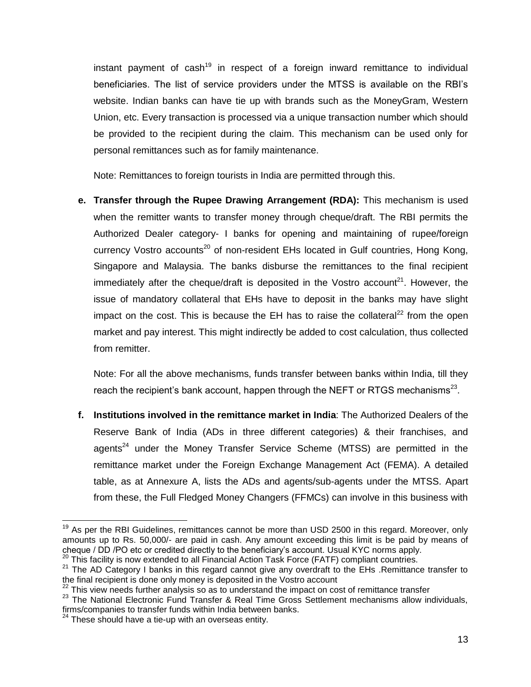instant payment of cash<sup>19</sup> in respect of a foreign inward remittance to individual beneficiaries. The list of service providers under the MTSS is available on the RBI"s website. Indian banks can have tie up with brands such as the MoneyGram, Western Union, etc. Every transaction is processed via a unique transaction number which should be provided to the recipient during the claim. This mechanism can be used only for personal remittances such as for family maintenance.

Note: Remittances to foreign tourists in India are permitted through this.

**e. Transfer through the Rupee Drawing Arrangement (RDA):** This mechanism is used when the remitter wants to transfer money through cheque/draft. The RBI permits the Authorized Dealer category- I banks for opening and maintaining of rupee/foreign currency Vostro accounts<sup>20</sup> of non-resident EHs located in Gulf countries, Hong Kong, Singapore and Malaysia. The banks disburse the remittances to the final recipient immediately after the cheque/draft is deposited in the Vostro account<sup>21</sup>. However, the issue of mandatory collateral that EHs have to deposit in the banks may have slight impact on the cost. This is because the EH has to raise the collateral<sup>22</sup> from the open market and pay interest. This might indirectly be added to cost calculation, thus collected from remitter.

Note: For all the above mechanisms, funds transfer between banks within India, till they reach the recipient's bank account, happen through the NEFT or RTGS mechanisms<sup>23</sup>.

**f. Institutions involved in the remittance market in India**: The Authorized Dealers of the Reserve Bank of India (ADs in three different categories) & their franchises, and agents $24$  under the Money Transfer Service Scheme (MTSS) are permitted in the remittance market under the Foreign Exchange Management Act (FEMA). A detailed table, as at Annexure A, lists the ADs and agents/sub-agents under the MTSS. Apart from these, the Full Fledged Money Changers (FFMCs) can involve in this business with

<sup>&</sup>lt;sup>19</sup> As per the RBI Guidelines, remittances cannot be more than USD 2500 in this regard. Moreover, only amounts up to Rs. 50,000/- are paid in cash. Any amount exceeding this limit is be paid by means of cheque / DD /PO etc or credited directly to the beneficiary"s account. Usual KYC norms apply.

 $20$  This facility is now extended to all Financial Action Task Force (FATF) compliant countries.

<sup>&</sup>lt;sup>21</sup> The AD Category I banks in this regard cannot give any overdraft to the EHs .Remittance transfer to the final recipient is done only money is deposited in the Vostro account

 $22$  This view needs further analysis so as to understand the impact on cost of remittance transfer

<sup>&</sup>lt;sup>23</sup> The National Electronic Fund Transfer & Real Time Gross Settlement mechanisms allow individuals, firms/companies to transfer funds within India between banks.

 $24$  These should have a tie-up with an overseas entity.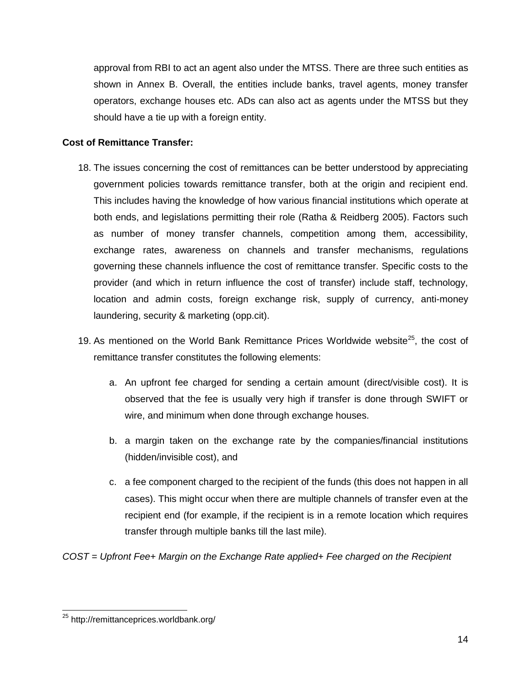approval from RBI to act an agent also under the MTSS. There are three such entities as shown in Annex B. Overall, the entities include banks, travel agents, money transfer operators, exchange houses etc. ADs can also act as agents under the MTSS but they should have a tie up with a foreign entity.

#### **Cost of Remittance Transfer:**

- 18. The issues concerning the cost of remittances can be better understood by appreciating government policies towards remittance transfer, both at the origin and recipient end. This includes having the knowledge of how various financial institutions which operate at both ends, and legislations permitting their role (Ratha & Reidberg 2005). Factors such as number of money transfer channels, competition among them, accessibility, exchange rates, awareness on channels and transfer mechanisms, regulations governing these channels influence the cost of remittance transfer. Specific costs to the provider (and which in return influence the cost of transfer) include staff, technology, location and admin costs, foreign exchange risk, supply of currency, anti-money laundering, security & marketing (opp.cit).
- 19. As mentioned on the World Bank Remittance Prices Worldwide website<sup>25</sup>, the cost of remittance transfer constitutes the following elements:
	- a. An upfront fee charged for sending a certain amount (direct/visible cost). It is observed that the fee is usually very high if transfer is done through SWIFT or wire, and minimum when done through exchange houses.
	- b. a margin taken on the exchange rate by the companies/financial institutions (hidden/invisible cost), and
	- c. a fee component charged to the recipient of the funds (this does not happen in all cases). This might occur when there are multiple channels of transfer even at the recipient end (for example, if the recipient is in a remote location which requires transfer through multiple banks till the last mile).

*COST = Upfront Fee+ Margin on the Exchange Rate applied+ Fee charged on the Recipient*

 <sup>25</sup> http://remittanceprices.worldbank.org/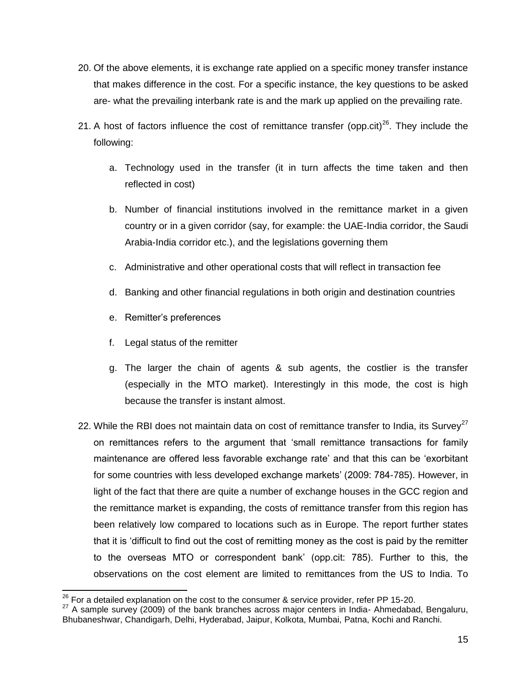- 20. Of the above elements, it is exchange rate applied on a specific money transfer instance that makes difference in the cost. For a specific instance, the key questions to be asked are- what the prevailing interbank rate is and the mark up applied on the prevailing rate.
- 21. A host of factors influence the cost of remittance transfer (opp.cit)<sup>26</sup>. They include the following:
	- a. Technology used in the transfer (it in turn affects the time taken and then reflected in cost)
	- b. Number of financial institutions involved in the remittance market in a given country or in a given corridor (say, for example: the UAE-India corridor, the Saudi Arabia-India corridor etc.), and the legislations governing them
	- c. Administrative and other operational costs that will reflect in transaction fee
	- d. Banking and other financial regulations in both origin and destination countries
	- e. Remitter"s preferences
	- f. Legal status of the remitter
	- g. The larger the chain of agents & sub agents, the costlier is the transfer (especially in the MTO market). Interestingly in this mode, the cost is high because the transfer is instant almost.
- 22. While the RBI does not maintain data on cost of remittance transfer to India, its Survey<sup>27</sup> on remittances refers to the argument that "small remittance transactions for family maintenance are offered less favorable exchange rate" and that this can be "exorbitant for some countries with less developed exchange markets' (2009: 784-785). However, in light of the fact that there are quite a number of exchange houses in the GCC region and the remittance market is expanding, the costs of remittance transfer from this region has been relatively low compared to locations such as in Europe. The report further states that it is "difficult to find out the cost of remitting money as the cost is paid by the remitter to the overseas MTO or correspondent bank" (opp.cit: 785). Further to this, the observations on the cost element are limited to remittances from the US to India. To

 $\overline{a}$  $^{26}$  For a detailed explanation on the cost to the consumer & service provider, refer PP 15-20.

<sup>&</sup>lt;sup>27</sup> A sample survey (2009) of the bank branches across major centers in India- Ahmedabad, Bengaluru, Bhubaneshwar, Chandigarh, Delhi, Hyderabad, Jaipur, Kolkota, Mumbai, Patna, Kochi and Ranchi.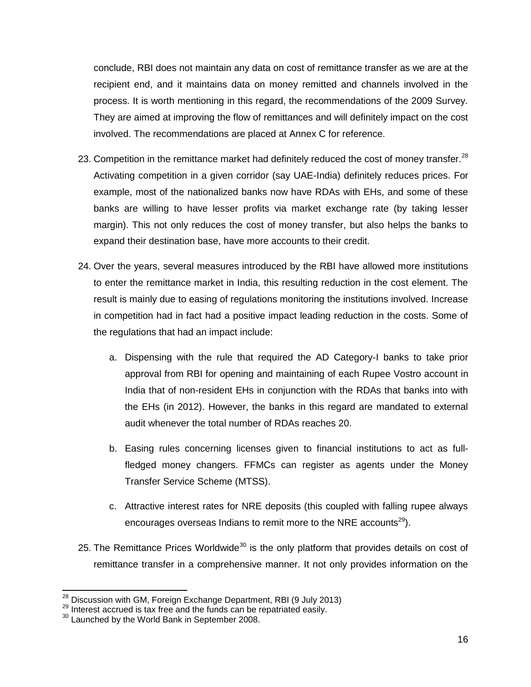conclude, RBI does not maintain any data on cost of remittance transfer as we are at the recipient end, and it maintains data on money remitted and channels involved in the process. It is worth mentioning in this regard, the recommendations of the 2009 Survey. They are aimed at improving the flow of remittances and will definitely impact on the cost involved. The recommendations are placed at Annex C for reference.

- 23. Competition in the remittance market had definitely reduced the cost of money transfer.<sup>28</sup> Activating competition in a given corridor (say UAE-India) definitely reduces prices. For example, most of the nationalized banks now have RDAs with EHs, and some of these banks are willing to have lesser profits via market exchange rate (by taking lesser margin). This not only reduces the cost of money transfer, but also helps the banks to expand their destination base, have more accounts to their credit.
- 24. Over the years, several measures introduced by the RBI have allowed more institutions to enter the remittance market in India, this resulting reduction in the cost element. The result is mainly due to easing of regulations monitoring the institutions involved. Increase in competition had in fact had a positive impact leading reduction in the costs. Some of the regulations that had an impact include:
	- a. Dispensing with the rule that required the AD Category-I banks to take prior approval from RBI for opening and maintaining of each Rupee Vostro account in India that of non-resident EHs in conjunction with the RDAs that banks into with the EHs (in 2012). However, the banks in this regard are mandated to external audit whenever the total number of RDAs reaches 20.
	- b. Easing rules concerning licenses given to financial institutions to act as fullfledged money changers. FFMCs can register as agents under the Money Transfer Service Scheme (MTSS).
	- c. Attractive interest rates for NRE deposits (this coupled with falling rupee always encourages overseas Indians to remit more to the NRE accounts<sup>29</sup>).
- 25. The Remittance Prices Worldwide<sup>30</sup> is the only platform that provides details on cost of remittance transfer in a comprehensive manner. It not only provides information on the

 $\overline{a}$ 

 $^{28}$  Discussion with GM, Foreign Exchange Department, RBI (9 July 2013)

 $29$  Interest accrued is tax free and the funds can be repatriated easily.

<sup>&</sup>lt;sup>30</sup> Launched by the World Bank in September 2008.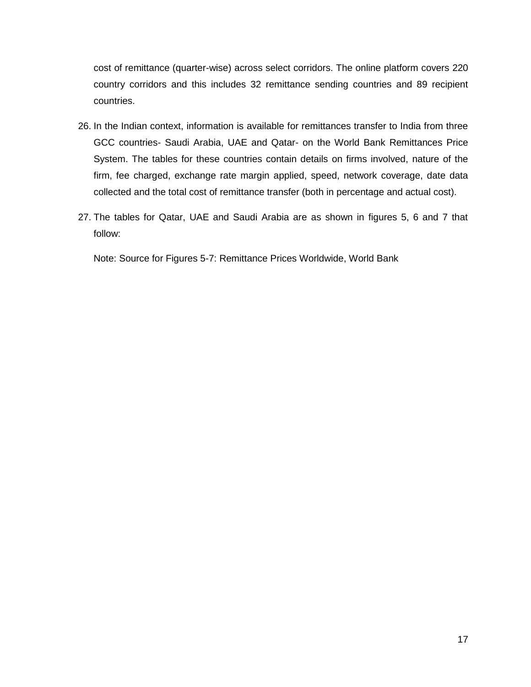cost of remittance (quarter-wise) across select corridors. The online platform covers 220 country corridors and this includes 32 remittance sending countries and 89 recipient countries.

- 26. In the Indian context, information is available for remittances transfer to India from three GCC countries- Saudi Arabia, UAE and Qatar- on the World Bank Remittances Price System. The tables for these countries contain details on firms involved, nature of the firm, fee charged, exchange rate margin applied, speed, network coverage, date data collected and the total cost of remittance transfer (both in percentage and actual cost).
- 27. The tables for Qatar, UAE and Saudi Arabia are as shown in figures 5, 6 and 7 that follow:

Note: Source for Figures 5-7: Remittance Prices Worldwide, World Bank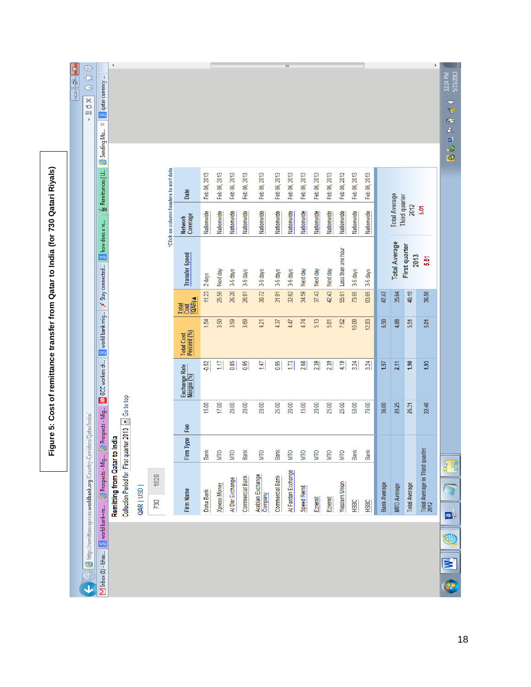| ×<br>$\begin{array}{c} \hline \blacksquare \end{array}$ | 第七年<br>$\! \times$<br>Ü<br>函<br>$\mathbb P$                          | $\times$ $\boxed{8}$ qatar currency<br>Sending Mo | ∢                             |                                          |           |             |                                       |                                              |                  |                     |                   |                   |                             |                   | Ш                  |                    |                   |                   |                                  |                   |                   |                     |                                       |                              | k                                     | 5/23/2013<br>12:24 PM<br>÷<br>专题上<br>a<br>9 |
|---------------------------------------------------------|----------------------------------------------------------------------|---------------------------------------------------|-------------------------------|------------------------------------------|-----------|-------------|---------------------------------------|----------------------------------------------|------------------|---------------------|-------------------|-------------------|-----------------------------|-------------------|--------------------|--------------------|-------------------|-------------------|----------------------------------|-------------------|-------------------|---------------------|---------------------------------------|------------------------------|---------------------------------------|---------------------------------------------|
|                                                         |                                                                      | fin Remittances   U                               |                               |                                          |           |             | *Click on column headers to sort data | Date                                         | Feb 06, 2013     | Feb 06, 2013        | Feb 06, 2013      | Feb 06, 2013      | Feb 06, 2013                | Feb 06, 2013      | Feb 06, 2013       | Feb 06, 2013       | Feb 06, 2013      | Feb 06, 2013      | Feb 06, 2013                     | Feb 06, 2013      | Feb 06, 2013      |                     | <b>Total Average</b><br>Third quarter | 2012                         | 5.01                                  | G                                           |
|                                                         |                                                                      | $\times$ Stay connected $\boxed{8}$ how does a re |                               |                                          |           |             |                                       | Network<br>Coverage<br><b>Transfer Speed</b> | Nationwide       | Nationwide          | Nationwide        | Nationwide        | Nationwide                  | Nationwide        | Nationwide         | Nationwide         | Nationwide        | Nationwide        | Nationwide<br>Less than one hour | Nationwide        | Nationwide        |                     | <b>Total Average</b>                  | <b>First quarter</b><br>2013 | 5.51                                  |                                             |
|                                                         |                                                                      |                                                   |                               |                                          |           |             |                                       | (QAR) A<br>Total<br>Cost                     | 2 days<br>11.23  | Next day<br>25.56   | 3-5 days<br>26.20 | 3-5 days<br>26.91 | 3-5 days<br>30.72           | 3-5 days<br>31.91 | 3-5 days<br>32.62  | Next day<br>34.59  | Next day<br>37.43 | Next day<br>42.43 | 55.61                            | 3-5 days<br>73.65 | 3-5 days<br>93.65 | 47.47               | 35.64                                 | 40.19                        | 36.56                                 |                                             |
|                                                         |                                                                      | a GCC workers dr 8 world bank mig                 |                               |                                          |           |             |                                       | Total Cost<br>Percent (%)                    | र्द्ध            | 3.50                | 3.59              | 3.69              | 4.21                        | 4.37              | 4.47               | 4.74               | 5.13              | 5.81              | 7.62                             | 10.09             | 12.83             | 6.50                | 4.88                                  | 5.51                         | 5.01                                  |                                             |
|                                                         |                                                                      |                                                   |                               |                                          |           |             |                                       | Exchange Rate<br>Margin (%)                  | $-0.52$          | $\overline{11}$     | 0.85              | 0.95              | 147                         | 0.95              | 173                | 2.68               | 2.39              | 2.39              | 4.19                             | 3.24              | 3.24              | 1.57                | 2.11                                  | 1.90                         | 1.93                                  |                                             |
|                                                         |                                                                      | Prospects - Mig                                   |                               | · Go to top                              |           |             |                                       | Fee                                          | 15.00            | 17.00               | 20.00             | 20.00             | 20.00                       | 25.00             | 20.00              | 15.00              | 20.00             | 25.00             | 25.00                            | 50.00             | 70.00             | 36.00               | 20.25                                 | 26.31                        | 22.46                                 |                                             |
|                                                         |                                                                      |                                                   |                               |                                          |           |             |                                       | Firm Type                                    | Bank             | <b>NIIO</b>         | MIO               | Bank              | <b>NIN</b>                  | Bank              | <b>NIIO</b>        | <b>NIIO</b>        | <b>NIIO</b>       | <b>NIIO</b>       | MТО                              | Bank              | Bank              |                     |                                       |                              |                                       |                                             |
|                                                         | http://remittanceprices.worldbank.org/Country-Corridors/Qatar/India/ | Prospects - Mig                                   | Remitting from Qatar to India | Collection Period for First quarter 2013 | QAR   USD | 1820<br>730 |                                       | Firm Name                                    | <b>Doha Bank</b> | <b>Xpress Money</b> | Al Dar Exchange   | Commercial Bank   | Arabian Exchange<br>Company | Commercial Bank   | Al Fardan Exchange | <b>Speed Remit</b> | Ezremit           | Ezremit           | <b>Western Union</b>             | HSBC              | HSBC              | <b>Bank Average</b> | MTO Average                           | <b>Total Average</b>         | Total Average in Third quarte<br>2012 | $\bullet$                                   |
|                                                         | $\overline{\textbf{J}}$                                              | M Inbox (1) - bhas   8 world bank+re              |                               |                                          |           |             |                                       |                                              |                  |                     |                   |                   |                             |                   |                    |                    |                   |                   |                                  |                   |                   |                     |                                       |                              |                                       | O<br>3                                      |

Figure 5: Cost of remittance transfer from Qatar to India (for 730 Qatari Riyals) **Figure 5: Cost of remittance transfer from Qatar to India (for 730 Qatari Riyals)**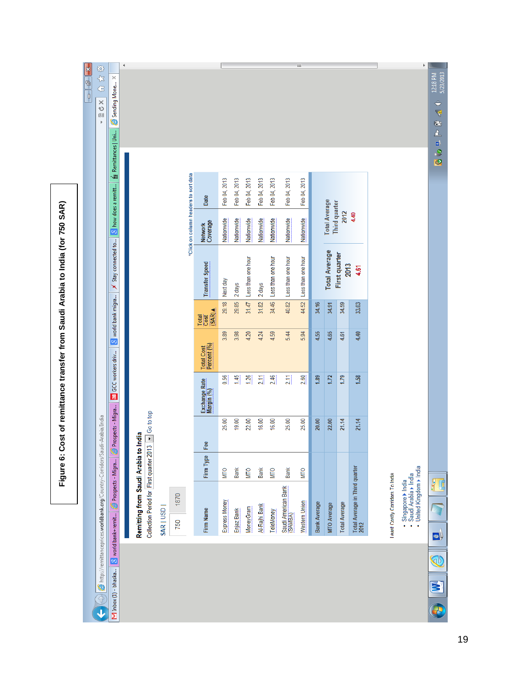Figure 6: Cost of remittance transfer from Saudi Arabia to India (for 750 SAR) **Figure 6: Cost of remittance transfer from Saudi Arabia to India (for 750 SAR)**

|        |                                         |                                                                           |             | $\left(\frac{1}{\sqrt{2}}\right)$ $\bigotimes$ http://remittanceprices.worldbank.org/Country-Corridors/Saudi-Arabia/India |                             |                           |                        |                                                                                     |                                       |              |                       | ×<br>ひ<br>図    | 33<br>1 G 全 |
|--------|-----------------------------------------|---------------------------------------------------------------------------|-------------|---------------------------------------------------------------------------------------------------------------------------|-----------------------------|---------------------------|------------------------|-------------------------------------------------------------------------------------|---------------------------------------|--------------|-----------------------|----------------|-------------|
|        | M Inbox (1) - bhaska 8 world bank+remit | Prospects - Migra                                                         |             | Prospects - Migra                                                                                                         | <b>aB</b> GCC workers driv  |                           | 8 world bank migra     | $\times$ Stay connected to $\begin{bmatrix} 8 \\ 8 \end{bmatrix}$ how does a remitt |                                       |              | fin Remittances   Uni | Sending Mone X |             |
|        |                                         |                                                                           |             |                                                                                                                           |                             |                           |                        |                                                                                     |                                       |              |                       |                |             |
|        |                                         | Remitting from Saudi Arabia to India                                      |             |                                                                                                                           |                             |                           |                        |                                                                                     |                                       |              |                       |                |             |
|        |                                         |                                                                           |             | Collection Period for First quarter 2013 3 Go to top                                                                      |                             |                           |                        |                                                                                     |                                       |              |                       |                |             |
|        | SAR   USD                               |                                                                           |             |                                                                                                                           |                             |                           |                        |                                                                                     |                                       |              |                       |                |             |
|        | 750                                     | 1870                                                                      |             |                                                                                                                           |                             |                           |                        |                                                                                     |                                       |              |                       |                |             |
|        |                                         |                                                                           |             |                                                                                                                           |                             |                           |                        |                                                                                     | *Click on column headers to sort data |              |                       |                |             |
|        | Firm Name                               |                                                                           | Firm Type   | Fee                                                                                                                       | Exchange Rate<br>Margin (%) | Total Cost<br>Percent (%) | (SAR)<br>Total<br>Cost | <b>Transfer Speed</b>                                                               | Network<br>Coverage                   | Date         |                       |                |             |
|        | Express Money                           |                                                                           | <b>MIIO</b> | 25.00                                                                                                                     | 0.56                        | 3.89                      | 29.18                  | Next day                                                                            | Nationwide                            | Feb 04, 2013 |                       |                |             |
|        | Enjaz Bank                              |                                                                           | Bank        | 19.00                                                                                                                     | 1.45                        | 3.98                      | 29.85                  | 2 days                                                                              | Nationwide                            | Feb 04, 2013 |                       |                |             |
|        | MoneyGram                               |                                                                           | MТО         | 22.00                                                                                                                     | 1.26                        | 4.20                      | 31.47                  | Less than one hour                                                                  | Nationwide                            | Feb 04, 2013 |                       |                |             |
|        | Al-Rajhi Bank                           |                                                                           | Bank        | 16.00                                                                                                                     | 211                         | 4.24                      | 31.82                  | 2 days                                                                              | Nationwide                            | Feb 04, 2013 |                       |                |             |
|        | TeleMoney                               |                                                                           | <b>MIO</b>  | 16.00                                                                                                                     | 2.46                        | 4.59                      | 34.46                  | Less than one hour                                                                  | Nationwide                            | Feb 04, 2013 |                       |                |             |
|        |                                         | Saudi American Bank<br>(SAMBA)                                            | Bank        | 25.00                                                                                                                     | 2.11                        | 5.44                      | 40.82                  | Less than one hour                                                                  | Nationwide                            | Feb 04, 2013 |                       |                |             |
|        | Western Union                           |                                                                           | <b>MTO</b>  | 25.00                                                                                                                     | 2.60                        | 5.94                      | 44.52                  | Less than one hour                                                                  | Nationwide                            | Feb 04, 2013 |                       |                |             |
|        | <b>Bank Average</b>                     |                                                                           |             | 20.00                                                                                                                     | 1.89                        | 4.55                      | 34.16                  |                                                                                     |                                       |              |                       |                |             |
|        | MTO Average                             |                                                                           |             | 22.00                                                                                                                     | 1.72                        | 4.65                      | 34.91                  | <b>Total Average</b>                                                                | <b>Total Average</b><br>Third quarter |              |                       |                |             |
|        | <b>Total Average</b>                    |                                                                           |             | 21.14                                                                                                                     | 1.79                        | 4.61                      | 34.59                  | First quarter<br>2013                                                               | 2012                                  |              |                       |                |             |
|        |                                         | Total Average in Third quarter<br>2012                                    |             | 21.14                                                                                                                     | 1.58                        | 4.40                      | 33.03                  | 4.61                                                                                | 4.40                                  |              |                       |                |             |
|        |                                         | Least Costly Corridors To India                                           |             |                                                                                                                           |                             |                           |                        |                                                                                     |                                       |              |                       |                |             |
|        |                                         | · United Kingdom > India<br>• Singapore ▶ India<br>• Saudi Arabia ▶ India |             |                                                                                                                           |                             |                           |                        |                                                                                     |                                       |              |                       |                |             |
| E<br>У | $\bullet$                               | P<br>L                                                                    |             |                                                                                                                           |                             |                           |                        |                                                                                     |                                       |              | A.<br>a<br>S<br>Ø     | ÷<br>F<br>Ł    | 12:18 PM    |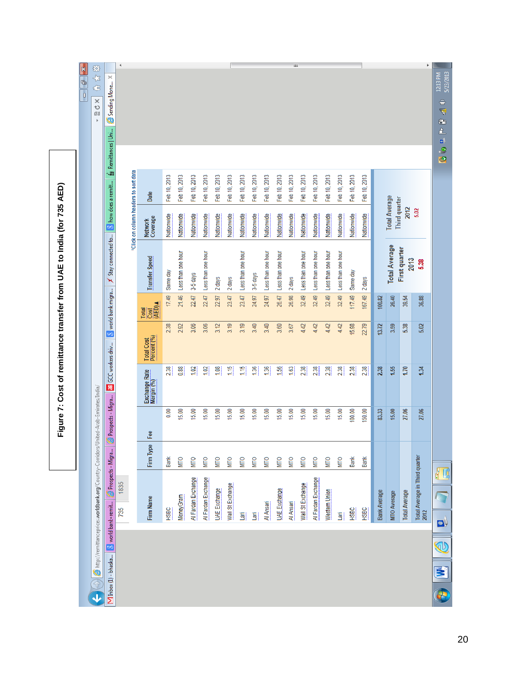|                                                                       | 83<br>含金<br>X<br>U<br>Œ<br>$\mathbf{p}$                                                                                       | $\times$<br>Sending Mone                                  | $\blacktriangleleft$                  |                                 |              |                    |                    |                    |                     |                  |                    |              |                    |                     | Ш            |                    |                    |                    |                    |              |                 |                     |                                       |                       | k                                      | 5/23/2013<br>12:13 PM<br>$\hat{=}$<br>写<br>Ù,<br>鱼<br>ø) |
|-----------------------------------------------------------------------|-------------------------------------------------------------------------------------------------------------------------------|-----------------------------------------------------------|---------------------------------------|---------------------------------|--------------|--------------------|--------------------|--------------------|---------------------|------------------|--------------------|--------------|--------------------|---------------------|--------------|--------------------|--------------------|--------------------|--------------------|--------------|-----------------|---------------------|---------------------------------------|-----------------------|----------------------------------------|----------------------------------------------------------|
|                                                                       |                                                                                                                               | Remittances   Uni<br>博<br>$\frac{1}{2}$ how does a remitt | *Click on column headers to sort data | Date                            | Feb 10, 2013 | Feb 10, 2013       | Feb 10, 2013       | Feb 10, 2013       | Feb 10, 2013        | Feb 10, 2013     | Feb 10, 2013       | Feb 10, 2013 | Feb 10, 2013       | Feb 10, 2013        | Feb 10, 2013 | Feb 10, 2013       | Feb 10, 2013       | Feb 10, 2013       | Feb 10, 2013       | Feb 10, 2013 | 2013<br>Feb 10, |                     |                                       |                       |                                        | e<br>G                                                   |
|                                                                       |                                                                                                                               |                                                           |                                       | Network<br>Coverage             | Nationwide   | Nationwide         | Nationwide         | Nationwide         | Nationwide          | Nationwide       | Nationwide         | Nationwide   | Nationwide         | Nationwide          | Nationwide   | Nationwide         | Nationwide         | Nationwide         | Nationwide         | Nationwide   | Nationwide      |                     | <b>Total Average</b><br>Third quarter | 2012                  | 5.02                                   |                                                          |
| Figure 7: Cost of remittance transfer from UAE to India (for 735 AED) |                                                                                                                               | $\times$ Stay connected to                                |                                       | <b>Transfer Speed</b>           | Same day     | Less than one hour | 3-5 days           | Less than one hour | 2 days              | 2 days           | Less than one hour | 3-5 days     | Less than one hour | Less than one hour  | 2 days       | Less than one hour | Less than one hour | Less than one hour | Less than one hour | Same day     | 2 days          |                     | <b>Total Average</b>                  | First quarter<br>2013 | 5.38                                   |                                                          |
|                                                                       |                                                                                                                               | 8 world bank migra                                        |                                       | Total<br>Cost<br>(AED) <b>A</b> | 17.49        | 21.46              | 22.47              | 22.47              | 22.97               | 23.47            | 23.47              | 24.97        | 24.97              | 26.47               | 26.98        | 32.49              | 32.49              | 32.49              | 32.49              | 117.49       | 167.49          | 100.82              | 26.40                                 | 39.54                 | 36.88                                  |                                                          |
|                                                                       |                                                                                                                               |                                                           |                                       | Total Cost<br>Percent (%)       | 2.38         | 2.92               | 3.06               | 3.06               | 3.12                | 3.19             | 3.19               | 3.40         | 3.40               | 3.60                | 3.67         | 4.42               | 4.42               | 4.42               | 4.42               | 15.98        | 22.79           | 13.72               | 3.59                                  | 5.38                  | 5.02                                   |                                                          |
|                                                                       |                                                                                                                               | <b>aB</b> GCC workers driv                                |                                       | Exchange Rate<br>Margin (%)     | 2.38         | 0.88               | 1.02               | 1.02               | 1.08                | 1.15             | 1.15               | 1.36         | 1.36               | 1.56                | 1.63         | 2.38               | 2.38               | 2.38               | 2.38               | 2.38         | 2.38            | 2.38                | 1.55                                  | 1.70                  | 1.34                                   |                                                          |
|                                                                       |                                                                                                                               | Prospects - Migra                                         |                                       | Fee                             | 0.00         | 15.00              | 15.00              | 15.00              | 15.00               | 15.00            | 15.00              | 15.00        | 15.00              | 15.00               | 15.00        | 15.00              | 15.00              | 15.00              | 15.00              | 100.00       | 150.00          | 83.33               | 15.00                                 | 27.06                 | 27.06                                  |                                                          |
|                                                                       |                                                                                                                               |                                                           |                                       | Firm Type                       | Bank         | <b>MTO</b>         | <b>MTO</b>         | MТО                | <b>NTO</b>          | <b>NIIO</b>      | <b>MTO</b>         | <b>MTO</b>   | <b>MTO</b>         | <b>NTO</b>          | <b>NIIO</b>  | <b>NTO</b>         | <b>MTO</b>         | <b>MTO</b>         | <b>MTO</b>         | Bank         | Bank            |                     |                                       |                       |                                        |                                                          |
|                                                                       |                                                                                                                               | <sup>2</sup> Prospects - Migra.                           | 1835<br>735                           | Firm Name                       | <b>HSBC</b>  | <b>MoneyGram</b>   | Al Fardan Exchange | Al Fardan Exchange | <b>UAE</b> Exchange | Wall St Exchange | E                  | $\Xi$        | Al Ansari          | <b>UAE</b> Exchange | Al Ansari    | Wall St Exchange   | Al Fardan Exchange | Western Union      | Lari               | HSBC         | HSBC            | <b>Bank Average</b> | <b>MTO Average</b>                    | <b>Total Average</b>  | Total Average in Third quarter<br>2012 | łC<br>$\bullet$                                          |
|                                                                       | All $\bigcirc$ http://remittanceprices.worldbank.org/Country-Corridors/United-Arab-Emirates/India/<br>$\overline{\textbf{J}}$ | M Inbox (1) - bhaska 8 world bank+remit                   |                                       |                                 |              |                    |                    |                    |                     |                  |                    |              |                    |                     |              |                    |                    |                    |                    |              |                 |                     |                                       |                       |                                        | E<br>E                                                   |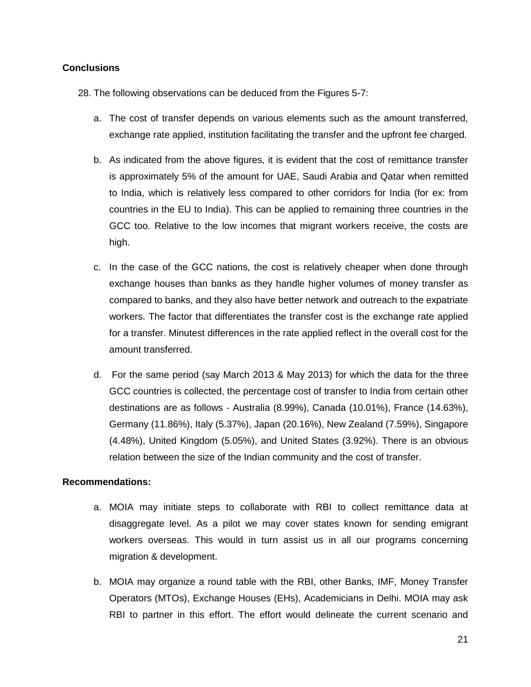#### **Conclusions**

- 28. The following observations can be deduced from the Figures 5-7:
	- a. The cost of transfer depends on various elements such as the amount transferred, exchange rate applied, institution facilitating the transfer and the upfront fee charged.
	- b. As indicated from the above figures, it is evident that the cost of remittance transfer is approximately 5% of the amount for UAE, Saudi Arabia and Qatar when remitted to India, which is relatively less compared to other corridors for India (for ex: from countries in the EU to India). This can be applied to remaining three countries in the GCC too. Relative to the low incomes that migrant workers receive, the costs are high.
	- c. In the case of the GCC nations, the cost is relatively cheaper when done through exchange houses than banks as they handle higher volumes of money transfer as compared to banks, and they also have better network and outreach to the expatriate workers. The factor that differentiates the transfer cost is the exchange rate applied for a transfer. Minutest differences in the rate applied reflect in the overall cost for the amount transferred.
	- d. For the same period (say March 2013 & May 2013) for which the data for the three GCC countries is collected, the percentage cost of transfer to India from certain other destinations are as follows - Australia (8.99%), Canada (10.01%), France (14.63%), Germany (11.86%), Italy (5.37%), Japan (20.16%), New Zealand (7.59%), Singapore (4.48%), United Kingdom (5.05%), and United States (3.92%). There is an obvious relation between the size of the Indian community and the cost of transfer.

#### **Recommendations:**

- a. MOIA may initiate steps to collaborate with RBI to collect remittance data at disaggregate level. As a pilot we may cover states known for sending emigrant workers overseas. This would in turn assist us in all our programs concerning migration & development.
- b. MOIA may organize a round table with the RBI, other Banks, IMF, Money Transfer Operators (MTOs), Exchange Houses (EHs), Academicians in Delhi. MOIA may ask RBI to partner in this effort. The effort would delineate the current scenario and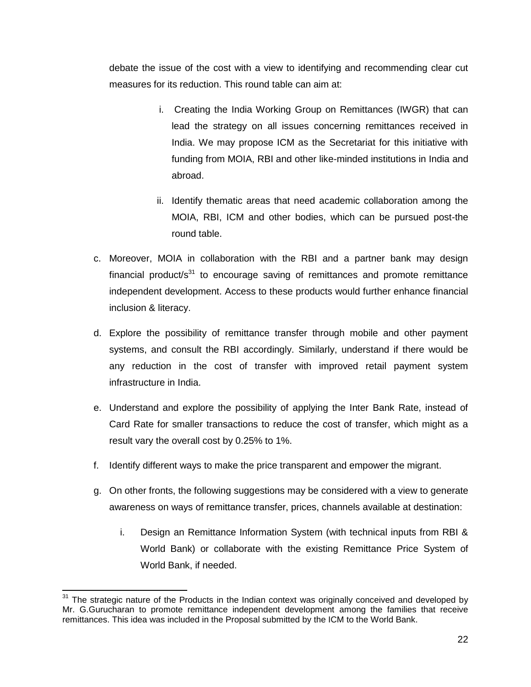debate the issue of the cost with a view to identifying and recommending clear cut measures for its reduction. This round table can aim at:

- i. Creating the India Working Group on Remittances (IWGR) that can lead the strategy on all issues concerning remittances received in India. We may propose ICM as the Secretariat for this initiative with funding from MOIA, RBI and other like-minded institutions in India and abroad.
- ii. Identify thematic areas that need academic collaboration among the MOIA, RBI, ICM and other bodies, which can be pursued post-the round table.
- c. Moreover, MOIA in collaboration with the RBI and a partner bank may design financial product/ $s^{31}$  to encourage saving of remittances and promote remittance independent development. Access to these products would further enhance financial inclusion & literacy.
- d. Explore the possibility of remittance transfer through mobile and other payment systems, and consult the RBI accordingly. Similarly, understand if there would be any reduction in the cost of transfer with improved retail payment system infrastructure in India.
- e. Understand and explore the possibility of applying the Inter Bank Rate, instead of Card Rate for smaller transactions to reduce the cost of transfer, which might as a result vary the overall cost by 0.25% to 1%.
- f. Identify different ways to make the price transparent and empower the migrant.
- g. On other fronts, the following suggestions may be considered with a view to generate awareness on ways of remittance transfer, prices, channels available at destination:
	- i. Design an Remittance Information System (with technical inputs from RBI & World Bank) or collaborate with the existing Remittance Price System of World Bank, if needed.

 $\overline{a}$ 

 $31$  The strategic nature of the Products in the Indian context was originally conceived and developed by Mr. G.Gurucharan to promote remittance independent development among the families that receive remittances. This idea was included in the Proposal submitted by the ICM to the World Bank.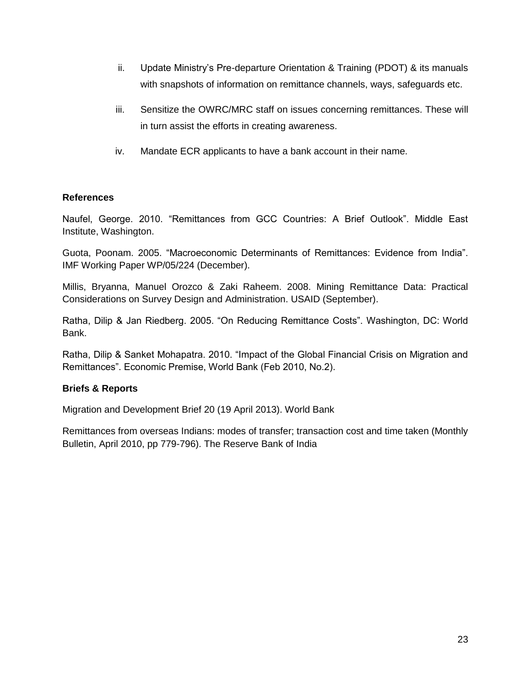- ii. Update Ministry"s Pre-departure Orientation & Training (PDOT) & its manuals with snapshots of information on remittance channels, ways, safeguards etc.
- iii. Sensitize the OWRC/MRC staff on issues concerning remittances. These will in turn assist the efforts in creating awareness.
- iv. Mandate ECR applicants to have a bank account in their name.

#### **References**

Naufel, George. 2010. "Remittances from GCC Countries: A Brief Outlook". Middle East Institute, Washington.

Guota, Poonam. 2005. "Macroeconomic Determinants of Remittances: Evidence from India". IMF Working Paper WP/05/224 (December).

Millis, Bryanna, Manuel Orozco & Zaki Raheem. 2008. Mining Remittance Data: Practical Considerations on Survey Design and Administration. USAID (September).

Ratha, Dilip & Jan Riedberg. 2005. "On Reducing Remittance Costs". Washington, DC: World Bank.

Ratha, Dilip & Sanket Mohapatra. 2010. "Impact of the Global Financial Crisis on Migration and Remittances". Economic Premise, World Bank (Feb 2010, No.2).

### **Briefs & Reports**

Migration and Development Brief 20 (19 April 2013). World Bank

Remittances from overseas Indians: modes of transfer; transaction cost and time taken (Monthly Bulletin, April 2010, pp 779-796). The Reserve Bank of India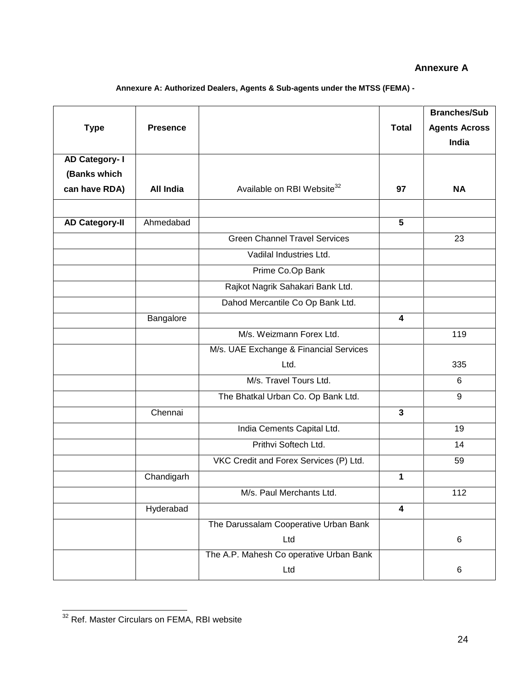#### **Annexure A**

**Annexure A: Authorized Dealers, Agents & Sub-agents under the MTSS (FEMA) -**

| <b>Type</b>           | <b>Presence</b> |                                         | <b>Total</b>            | <b>Branches/Sub</b><br><b>Agents Across</b> |
|-----------------------|-----------------|-----------------------------------------|-------------------------|---------------------------------------------|
|                       |                 |                                         |                         | India                                       |
| AD Category- I        |                 |                                         |                         |                                             |
| (Banks which          |                 |                                         |                         |                                             |
| can have RDA)         | All India       | Available on RBI Website <sup>32</sup>  | 97                      | <b>NA</b>                                   |
|                       |                 |                                         |                         |                                             |
| <b>AD Category-II</b> | Ahmedabad       |                                         | 5                       |                                             |
|                       |                 | <b>Green Channel Travel Services</b>    |                         | 23                                          |
|                       |                 | Vadilal Industries Ltd.                 |                         |                                             |
|                       |                 | Prime Co.Op Bank                        |                         |                                             |
|                       |                 | Rajkot Nagrik Sahakari Bank Ltd.        |                         |                                             |
|                       |                 | Dahod Mercantile Co Op Bank Ltd.        |                         |                                             |
|                       | Bangalore       |                                         | 4                       |                                             |
|                       |                 | M/s. Weizmann Forex Ltd.                |                         | 119                                         |
|                       |                 | M/s. UAE Exchange & Financial Services  |                         |                                             |
|                       |                 | Ltd.                                    |                         | 335                                         |
|                       |                 | M/s. Travel Tours Ltd.                  |                         | 6                                           |
|                       |                 | The Bhatkal Urban Co. Op Bank Ltd.      |                         | 9                                           |
|                       | Chennai         |                                         | $\mathbf{3}$            |                                             |
|                       |                 | India Cements Capital Ltd.              |                         | 19                                          |
|                       |                 | Prithvi Softech Ltd.                    |                         | 14                                          |
|                       |                 | VKC Credit and Forex Services (P) Ltd.  |                         | 59                                          |
|                       | Chandigarh      |                                         | $\mathbf{1}$            |                                             |
|                       |                 | M/s. Paul Merchants Ltd.                |                         | 112                                         |
|                       | Hyderabad       |                                         | $\overline{\mathbf{4}}$ |                                             |
|                       |                 | The Darussalam Cooperative Urban Bank   |                         |                                             |
|                       |                 | Ltd                                     |                         | $\,6$                                       |
|                       |                 | The A.P. Mahesh Co operative Urban Bank |                         |                                             |
|                       |                 | Ltd                                     |                         | 6                                           |

 <sup>32</sup> Ref. Master Circulars on FEMA, RBI website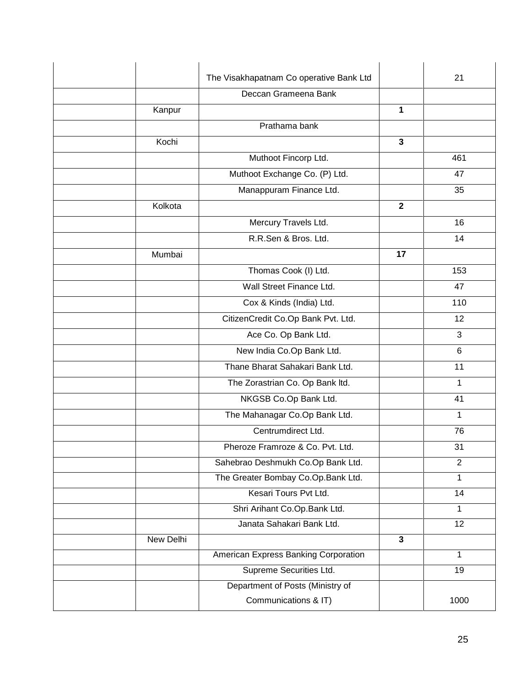|           | The Visakhapatnam Co operative Bank Ltd |              | 21              |
|-----------|-----------------------------------------|--------------|-----------------|
|           | Deccan Grameena Bank                    |              |                 |
| Kanpur    |                                         | 1            |                 |
|           | Prathama bank                           |              |                 |
| Kochi     |                                         | $\mathbf{3}$ |                 |
|           | Muthoot Fincorp Ltd.                    |              | 461             |
|           | Muthoot Exchange Co. (P) Ltd.           |              | 47              |
|           | Manappuram Finance Ltd.                 |              | 35              |
| Kolkota   |                                         | $\mathbf{2}$ |                 |
|           | Mercury Travels Ltd.                    |              | 16              |
|           | R.R.Sen & Bros. Ltd.                    |              | 14              |
| Mumbai    |                                         | 17           |                 |
|           | Thomas Cook (I) Ltd.                    |              | 153             |
|           | Wall Street Finance Ltd.                |              | 47              |
|           | Cox & Kinds (India) Ltd.                |              | 110             |
|           | CitizenCredit Co.Op Bank Pvt. Ltd.      |              | 12              |
|           | Ace Co. Op Bank Ltd.                    |              | 3               |
|           | New India Co.Op Bank Ltd.               |              | 6               |
|           | Thane Bharat Sahakari Bank Ltd.         |              | 11              |
|           | The Zorastrian Co. Op Bank Itd.         |              | 1               |
|           | NKGSB Co.Op Bank Ltd.                   |              | 41              |
|           | The Mahanagar Co.Op Bank Ltd.           |              | 1               |
|           | Centrumdirect Ltd.                      |              | 76              |
|           | Pheroze Framroze & Co. Pvt. Ltd.        |              | 31              |
|           | Sahebrao Deshmukh Co.Op Bank Ltd.       |              | $\overline{2}$  |
|           | The Greater Bombay Co.Op.Bank Ltd.      |              | 1               |
|           | Kesari Tours Pvt Ltd.                   |              | 14              |
|           | Shri Arihant Co.Op.Bank Ltd.            |              | 1               |
|           | Janata Sahakari Bank Ltd.               |              | 12 <sub>2</sub> |
| New Delhi |                                         | $\mathbf{3}$ |                 |
|           | American Express Banking Corporation    |              | 1               |
|           | Supreme Securities Ltd.                 |              | 19              |
|           | Department of Posts (Ministry of        |              |                 |
|           | Communications & IT)                    |              | 1000            |